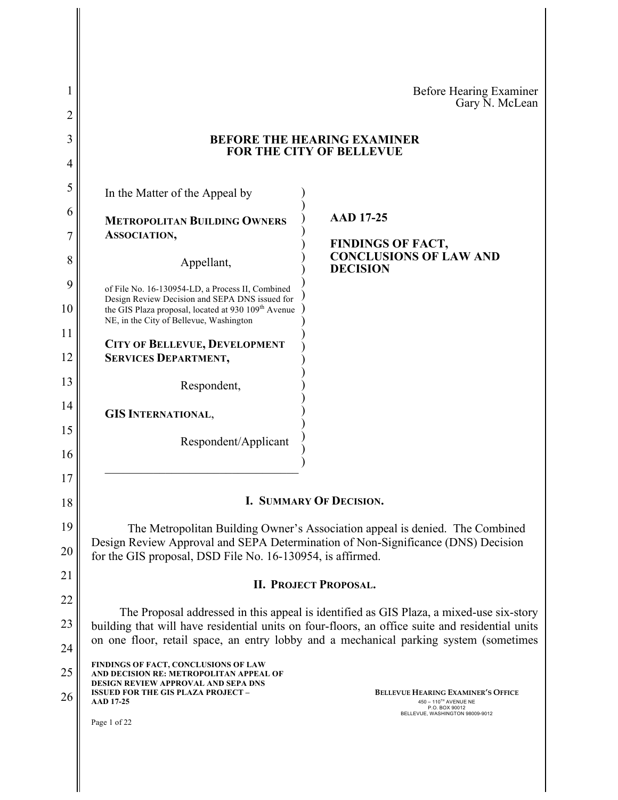|    |                                                                                                                                                                                                                                                                                         | Before Hearing Examiner<br>Gary N. McLean                                            |
|----|-----------------------------------------------------------------------------------------------------------------------------------------------------------------------------------------------------------------------------------------------------------------------------------------|--------------------------------------------------------------------------------------|
| 2  |                                                                                                                                                                                                                                                                                         |                                                                                      |
| 3  |                                                                                                                                                                                                                                                                                         | <b>BEFORE THE HEARING EXAMINER</b><br>FOR THE CITY OF BELLEVUE                       |
| 4  |                                                                                                                                                                                                                                                                                         |                                                                                      |
| 5  | In the Matter of the Appeal by                                                                                                                                                                                                                                                          |                                                                                      |
| 6  | <b>METROPOLITAN BUILDING OWNERS</b>                                                                                                                                                                                                                                                     | <b>AAD 17-25</b>                                                                     |
| 7  | ASSOCIATION,                                                                                                                                                                                                                                                                            | <b>FINDINGS OF FACT,</b>                                                             |
| 8  | Appellant,                                                                                                                                                                                                                                                                              | <b>CONCLUSIONS OF LAW AND</b><br><b>DECISION</b>                                     |
| 9  | of File No. 16-130954-LD, a Process II, Combined<br>Design Review Decision and SEPA DNS issued for<br>the GIS Plaza proposal, located at 930 109 <sup>th</sup> Avenue<br>NE, in the City of Bellevue, Washington<br><b>CITY OF BELLEVUE, DEVELOPMENT</b><br><b>SERVICES DEPARTMENT,</b> |                                                                                      |
| 10 |                                                                                                                                                                                                                                                                                         |                                                                                      |
| 11 |                                                                                                                                                                                                                                                                                         |                                                                                      |
| 12 |                                                                                                                                                                                                                                                                                         |                                                                                      |
| 13 | Respondent,                                                                                                                                                                                                                                                                             |                                                                                      |
| 14 | <b>GIS INTERNATIONAL,</b>                                                                                                                                                                                                                                                               |                                                                                      |
| 15 |                                                                                                                                                                                                                                                                                         |                                                                                      |
| 16 | Respondent/Applicant                                                                                                                                                                                                                                                                    |                                                                                      |
| 17 |                                                                                                                                                                                                                                                                                         |                                                                                      |
| 18 |                                                                                                                                                                                                                                                                                         | <b>I. SUMMARY OF DECISION.</b>                                                       |
| 19 |                                                                                                                                                                                                                                                                                         | The Metropolitan Building Owner's Association appeal is denied. The Combined         |
| 20 | Design Review Approval and SEPA Determination of Non-Significance (DNS) Decision<br>for the GIS proposal, DSD File No. 16-130954, is affirmed.                                                                                                                                          |                                                                                      |
| 21 |                                                                                                                                                                                                                                                                                         | <b>II. PROJECT PROPOSAL.</b>                                                         |
| 22 | The Proposal addressed in this appeal is identified as GIS Plaza, a mixed-use six-story<br>building that will have residential units on four-floors, an office suite and residential units<br>on one floor, retail space, an entry lobby and a mechanical parking system (sometimes     |                                                                                      |
| 23 |                                                                                                                                                                                                                                                                                         |                                                                                      |
| 24 |                                                                                                                                                                                                                                                                                         |                                                                                      |
| 25 | FINDINGS OF FACT, CONCLUSIONS OF LAW<br>AND DECISION RE: METROPOLITAN APPEAL OF                                                                                                                                                                                                         |                                                                                      |
| 26 | <b>DESIGN REVIEW APPROVAL AND SEPA DNS</b><br><b>ISSUED FOR THE GIS PLAZA PROJECT -</b><br><b>AAD 17-25</b>                                                                                                                                                                             | <b>BELLEVUE HEARING EXAMINER'S OFFICE</b><br>450 - 110TH AVENUE NE<br>P.O. BOX 90012 |
|    | Page 1 of 22                                                                                                                                                                                                                                                                            | BELLEVUE, WASHINGTON 98009-9012                                                      |

 $\mathbb I$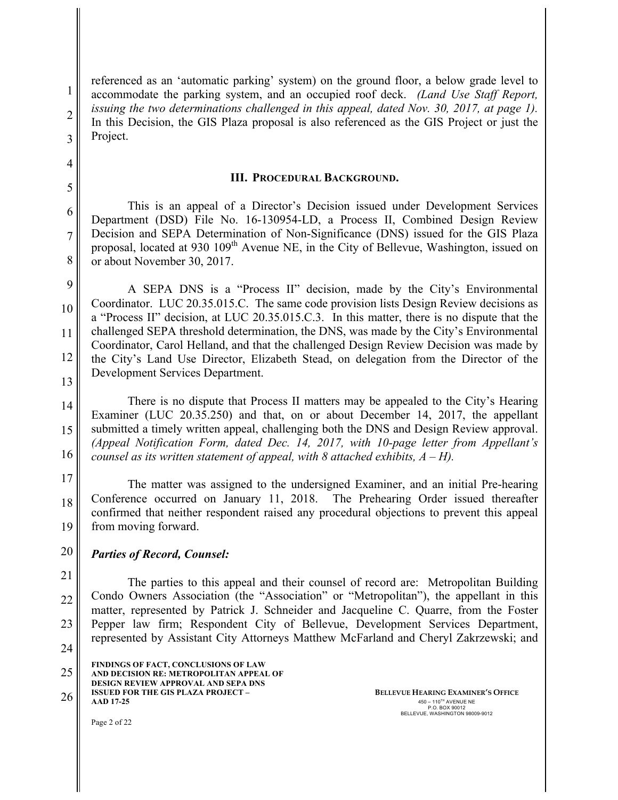referenced as an 'automatic parking' system) on the ground floor, a below grade level to accommodate the parking system, and an occupied roof deck. *(Land Use Staff Report, issuing the two determinations challenged in this appeal, dated Nov. 30, 2017, at page 1).*  In this Decision, the GIS Plaza proposal is also referenced as the GIS Project or just the Project.

#### **III. PROCEDURAL BACKGROUND.**

This is an appeal of a Director's Decision issued under Development Services Department (DSD) File No. 16-130954-LD, a Process II, Combined Design Review Decision and SEPA Determination of Non-Significance (DNS) issued for the GIS Plaza proposal, located at 930 109<sup>th</sup> Avenue NE, in the City of Bellevue, Washington, issued on or about November 30, 2017.

A SEPA DNS is a "Process II" decision, made by the City's Environmental Coordinator. LUC 20.35.015.C. The same code provision lists Design Review decisions as a "Process II" decision, at LUC 20.35.015.C.3. In this matter, there is no dispute that the challenged SEPA threshold determination, the DNS, was made by the City's Environmental Coordinator, Carol Helland, and that the challenged Design Review Decision was made by the City's Land Use Director, Elizabeth Stead, on delegation from the Director of the Development Services Department.

There is no dispute that Process II matters may be appealed to the City's Hearing Examiner (LUC 20.35.250) and that, on or about December 14, 2017, the appellant submitted a timely written appeal, challenging both the DNS and Design Review approval. *(Appeal Notification Form, dated Dec. 14, 2017, with 10-page letter from Appellant's counsel as its written statement of appeal, with 8 attached exhibits, A – H).*

19 The matter was assigned to the undersigned Examiner, and an initial Pre-hearing Conference occurred on January 11, 2018. The Prehearing Order issued thereafter confirmed that neither respondent raised any procedural objections to prevent this appeal from moving forward.

#### *Parties of Record, Counsel:*

20 21

22

23

24

1

2

3

4

5

6

7

8

9

10

11

12

13

14

15

16

17

18

The parties to this appeal and their counsel of record are: Metropolitan Building Condo Owners Association (the "Association" or "Metropolitan"), the appellant in this matter, represented by Patrick J. Schneider and Jacqueline C. Quarre, from the Foster Pepper law firm; Respondent City of Bellevue, Development Services Department, represented by Assistant City Attorneys Matthew McFarland and Cheryl Zakrzewski; and

**FINDINGS OF FACT, CONCLUSIONS OF LAW AND DECISION RE: METROPOLITAN APPEAL OF DESIGN REVIEW APPROVAL AND SEPA DNS ISSUED FOR THE GIS PLAZA PROJECT –**<br> **ISSUED FOR THE GIS PLAZA PROJECT –**<br>
26 **BELLEVUE HEARING EXAMINER'S OFFICE AAD 17-25** 25

 $450 - 110^{TH}$  AVENUE NE P.O. BOX 90012 BELLEVUE, WASHINGTON 98009-9012

Page 2 of 22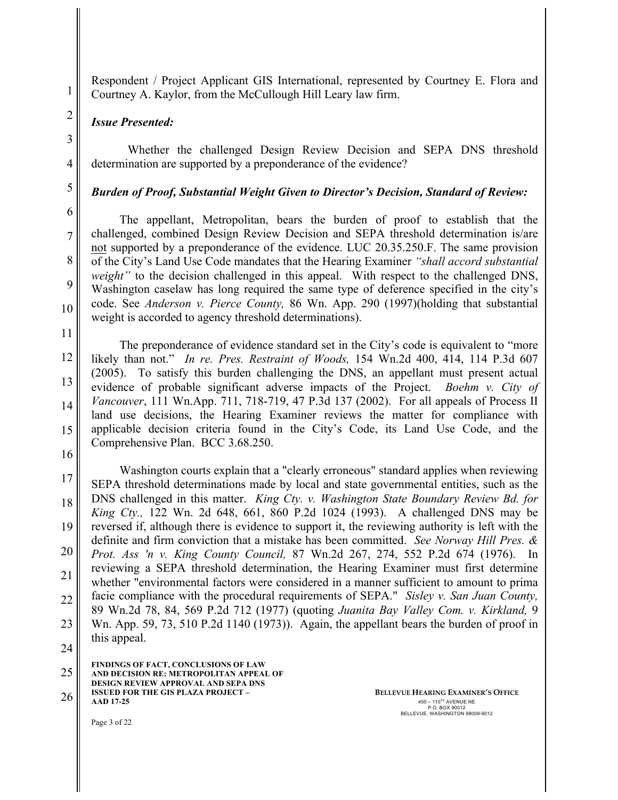Respondent / Project Applicant GIS International, represented by Courtney E. Flora and Courtney A. Kaylor, from the McCullough Hill Leary law firm.

## *Issue Presented:*

Whether the challenged Design Review Decision and SEPA DNS threshold determination are supported by a preponderance of the evidence?

5

# *Burden of Proof, Substantial Weight Given to Director's Decision, Standard of Review:*

The appellant, Metropolitan, bears the burden of proof to establish that the challenged, combined Design Review Decision and SEPA threshold determination is/are not supported by a preponderance of the evidence. LUC 20.35.250.F. The same provision of the City's Land Use Code mandates that the Hearing Examiner *"shall accord substantial weight*" to the decision challenged in this appeal. With respect to the challenged DNS, Washington caselaw has long required the same type of deference specified in the city's code. See *Anderson v. Pierce County,* 86 Wn. App. 290 (1997)(holding that substantial weight is accorded to agency threshold determinations).

The preponderance of evidence standard set in the City's code is equivalent to "more likely than not." *In re. Pres. Restraint of Woods,* 154 Wn.2d 400, 414, 114 P.3d 607 (2005). To satisfy this burden challenging the DNS, an appellant must present actual evidence of probable significant adverse impacts of the Project. *Boehm v. City of Vancouver*, 111 Wn.App. 711, 718-719, 47 P.3d 137 (2002). For all appeals of Process II land use decisions, the Hearing Examiner reviews the matter for compliance with applicable decision criteria found in the City's Code, its Land Use Code, and the Comprehensive Plan. BCC 3.68.250.

23 24 Washington courts explain that a "clearly erroneous" standard applies when reviewing SEPA threshold determinations made by local and state governmental entities, such as the DNS challenged in this matter. *King Cty. v. Washington State Boundary Review Bd. for King Cty.,* 122 Wn. 2d 648, 661, 860 P.2d 1024 (1993). A challenged DNS may be reversed if, although there is evidence to support it, the reviewing authority is left with the definite and firm conviction that a mistake has been committed. *See Norway Hill Pres. & Prot. Ass 'n v. King County Council,* 87 Wn.2d 267, 274, 552 P.2d 674 (1976). In reviewing a SEPA threshold determination, the Hearing Examiner must first determine whether "environmental factors were considered in a manner sufficient to amount to prima facie compliance with the procedural requirements of SEPA." *Sisley v. San Juan County,*  89 Wn.2d 78, 84, 569 P.2d 712 (1977) (quoting *Juanita Bay Valley Com. v. Kirkland,* 9 Wn. App. 59, 73, 510 P.2d 1140 (1973)). Again, the appellant bears the burden of proof in this appeal.

**FINDINGS OF FACT, CONCLUSIONS OF LAW AND DECISION RE: METROPOLITAN APPEAL OF DESIGN REVIEW APPROVAL AND SEPA DNS ISSUED FOR THE GIS PLAZA PROJECT –**<br> **ISSUED FOR THE GIS PLAZA PROJECT –**<br>
26 **BELLEVUE HEARING EXAMINER'S OFFICE AAD 17-25** 25

 $450 - 110^{TH}$  AVENUE NE P.O. BOX 90012 BELLEVUE, WASHINGTON 98009-9012

Page 3 of 22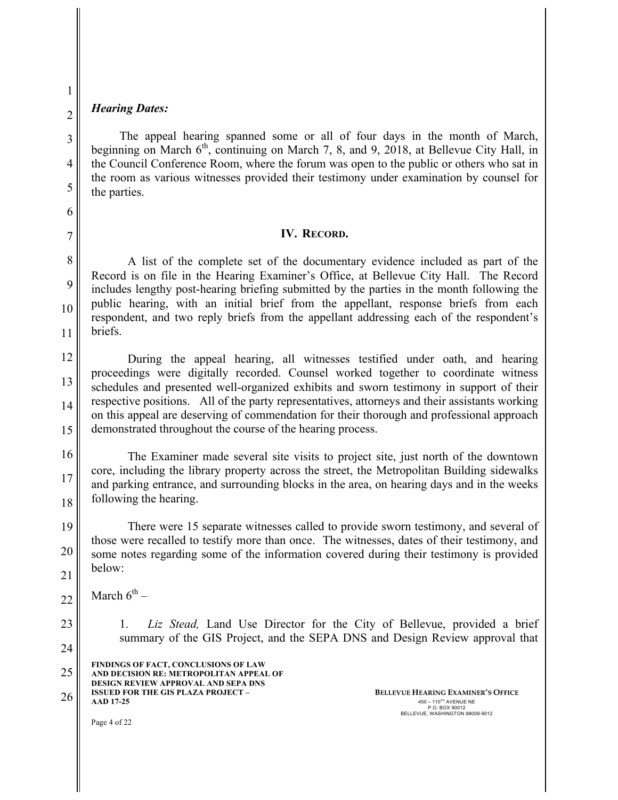## *Hearing Dates:*

The appeal hearing spanned some or all of four days in the month of March, beginning on March  $6<sup>th</sup>$ , continuing on March 7, 8, and 9, 2018, at Bellevue City Hall, in the Council Conference Room, where the forum was open to the public or others who sat in the room as various witnesses provided their testimony under examination by counsel for the parties.

## **IV. RECORD.**

A list of the complete set of the documentary evidence included as part of the Record is on file in the Hearing Examiner's Office, at Bellevue City Hall. The Record includes lengthy post-hearing briefing submitted by the parties in the month following the public hearing, with an initial brief from the appellant, response briefs from each respondent, and two reply briefs from the appellant addressing each of the respondent's briefs.

During the appeal hearing, all witnesses testified under oath, and hearing proceedings were digitally recorded. Counsel worked together to coordinate witness schedules and presented well-organized exhibits and sworn testimony in support of their respective positions. All of the party representatives, attorneys and their assistants working on this appeal are deserving of commendation for their thorough and professional approach demonstrated throughout the course of the hearing process.

The Examiner made several site visits to project site, just north of the downtown core, including the library property across the street, the Metropolitan Building sidewalks and parking entrance, and surrounding blocks in the area, on hearing days and in the weeks following the hearing.

There were 15 separate witnesses called to provide sworn testimony, and several of those were recalled to testify more than once. The witnesses, dates of their testimony, and some notes regarding some of the information covered during their testimony is provided below:

March  $6^{th}$  –

1. *Liz Stead,* Land Use Director for the City of Bellevue, provided a brief summary of the GIS Project, and the SEPA DNS and Design Review approval that

**FINDINGS OF FACT, CONCLUSIONS OF LAW AND DECISION RE: METROPOLITAN APPEAL OF DESIGN REVIEW APPROVAL AND SEPA DNS ISSUED FOR THE GIS PLAZA PROJECT –**<br> **ISSUED FOR THE GIS PLAZA PROJECT –**<br>
26 **BELLEVUE HEARING EXAMINER'S OFFICE AAD 17-25** 25

 $450 - 110^{TH}$  AVENUE NE P.O. BOX 90012 BELLEVUE, WASHINGTON 98009-9012

Page 4 of 22

19

20

21

22

23

24

1

2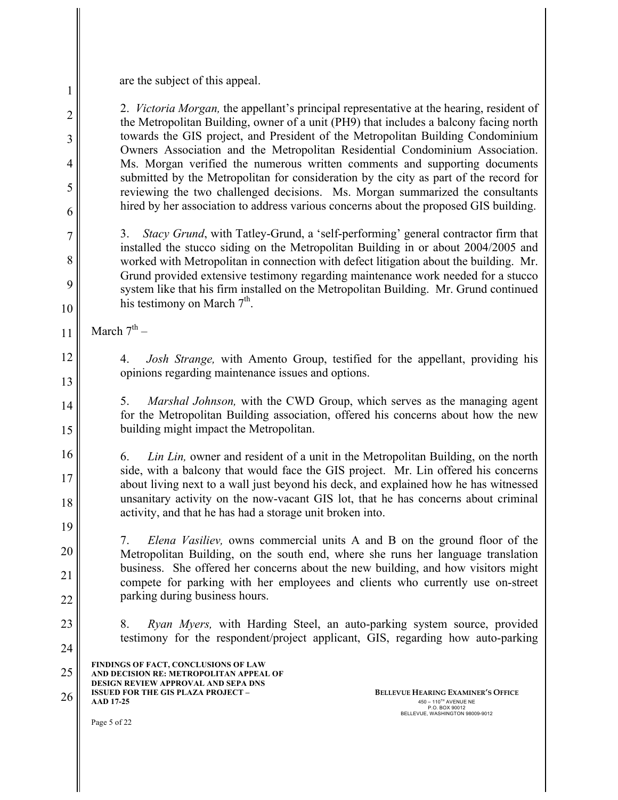are the subject of this appeal.

2. *Victoria Morgan,* the appellant's principal representative at the hearing, resident of the Metropolitan Building, owner of a unit (PH9) that includes a balcony facing north towards the GIS project, and President of the Metropolitan Building Condominium Owners Association and the Metropolitan Residential Condominium Association. Ms. Morgan verified the numerous written comments and supporting documents submitted by the Metropolitan for consideration by the city as part of the record for reviewing the two challenged decisions. Ms. Morgan summarized the consultants hired by her association to address various concerns about the proposed GIS building.

3. *Stacy Grund*, with Tatley-Grund, a 'self-performing' general contractor firm that installed the stucco siding on the Metropolitan Building in or about 2004/2005 and worked with Metropolitan in connection with defect litigation about the building. Mr. Grund provided extensive testimony regarding maintenance work needed for a stucco system like that his firm installed on the Metropolitan Building. Mr. Grund continued his testimony on March  $7<sup>th</sup>$ .

March  $7<sup>th</sup>$  –

1

2

3

4

5

6

7

8

9

10

11

12

13

14

15

16

17

18

19

20

21

22

23

24

4. *Josh Strange,* with Amento Group, testified for the appellant, providing his opinions regarding maintenance issues and options.

5. *Marshal Johnson,* with the CWD Group, which serves as the managing agent for the Metropolitan Building association, offered his concerns about how the new building might impact the Metropolitan.

6. *Lin Lin,* owner and resident of a unit in the Metropolitan Building, on the north side, with a balcony that would face the GIS project. Mr. Lin offered his concerns about living next to a wall just beyond his deck, and explained how he has witnessed unsanitary activity on the now-vacant GIS lot, that he has concerns about criminal activity, and that he has had a storage unit broken into.

7. *Elena Vasiliev,* owns commercial units A and B on the ground floor of the Metropolitan Building, on the south end, where she runs her language translation business. She offered her concerns about the new building, and how visitors might compete for parking with her employees and clients who currently use on-street parking during business hours.

8. *Ryan Myers,* with Harding Steel, an auto-parking system source, provided testimony for the respondent/project applicant, GIS, regarding how auto-parking

**FINDINGS OF FACT, CONCLUSIONS OF LAW AND DECISION RE: METROPOLITAN APPEAL OF DESIGN REVIEW APPROVAL AND SEPA DNS ISSUED FOR THE GIS PLAZA PROJECT –**<br> **ISSUED FOR THE GIS PLAZA PROJECT –**<br>
26 **BELLEVUE HEARING EXAMINER'S OFFICE AAD 17-25** 25

 $450 - 110^{TH}$  AVENUE NE P.O. BOX 90012 BELLEVUE, WASHINGTON 98009-9012

Page 5 of 22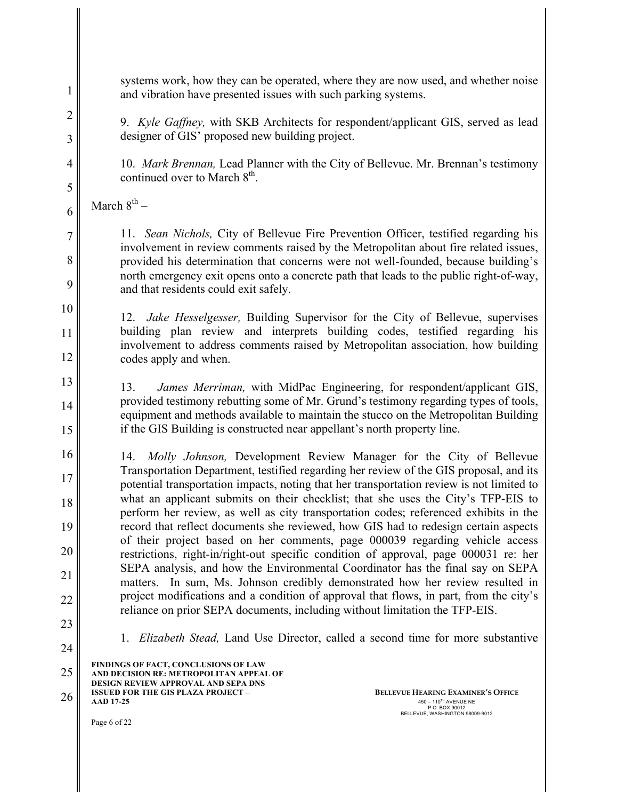**FINDINGS OF FACT, CONCLUSIONS OF LAW AND DECISION RE: METROPOLITAN APPEAL OF DESIGN REVIEW APPROVAL AND SEPA DNS ISSUED FOR THE GIS PLAZA PROJECT –**<br> **ISSUED FOR THE GIS PLAZA PROJECT –**<br>
26 **BELLEVUE HEARING EXAMINER'S OFFICE AAD 17-25** Page 6 of 22 1 2 3 4 5 6 7 8 9 10 11 12 13 14 15 16 17 18 19 20 21 22 23 24 25  $450 - 110^{TH}$  AVENUE NE P.O. BOX 90012 BELLEVUE, WASHINGTON 98009-9012 systems work, how they can be operated, where they are now used, and whether noise and vibration have presented issues with such parking systems. 9. *Kyle Gaffney,* with SKB Architects for respondent/applicant GIS, served as lead designer of GIS' proposed new building project. 10. *Mark Brennan,* Lead Planner with the City of Bellevue. Mr. Brennan's testimony continued over to March  $8<sup>th</sup>$ . March  $8^{th}$  – 11. *Sean Nichols,* City of Bellevue Fire Prevention Officer, testified regarding his involvement in review comments raised by the Metropolitan about fire related issues, provided his determination that concerns were not well-founded, because building's north emergency exit opens onto a concrete path that leads to the public right-of-way, and that residents could exit safely. 12. *Jake Hesselgesser,* Building Supervisor for the City of Bellevue, supervises building plan review and interprets building codes, testified regarding his involvement to address comments raised by Metropolitan association, how building codes apply and when. 13. *James Merriman,* with MidPac Engineering, for respondent/applicant GIS, provided testimony rebutting some of Mr. Grund's testimony regarding types of tools, equipment and methods available to maintain the stucco on the Metropolitan Building if the GIS Building is constructed near appellant's north property line. 14. *Molly Johnson,* Development Review Manager for the City of Bellevue Transportation Department, testified regarding her review of the GIS proposal, and its potential transportation impacts, noting that her transportation review is not limited to what an applicant submits on their checklist; that she uses the City's TFP-EIS to perform her review, as well as city transportation codes; referenced exhibits in the record that reflect documents she reviewed, how GIS had to redesign certain aspects of their project based on her comments, page 000039 regarding vehicle access restrictions, right-in/right-out specific condition of approval, page 000031 re: her SEPA analysis, and how the Environmental Coordinator has the final say on SEPA matters. In sum, Ms. Johnson credibly demonstrated how her review resulted in project modifications and a condition of approval that flows, in part, from the city's reliance on prior SEPA documents, including without limitation the TFP-EIS. 1. *Elizabeth Stead,* Land Use Director, called a second time for more substantive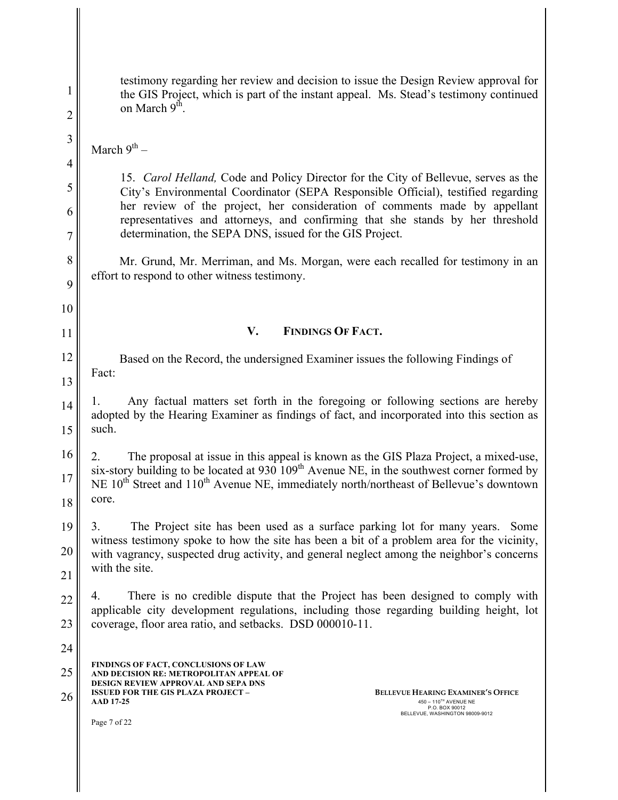testimony regarding her review and decision to issue the Design Review approval for the GIS Project, which is part of the instant appeal. Ms. Stead's testimony continued on March 9<sup>th</sup>. March  $9^{th}$  – 15. *Carol Helland,* Code and Policy Director for the City of Bellevue, serves as the City's Environmental Coordinator (SEPA Responsible Official), testified regarding her review of the project, her consideration of comments made by appellant representatives and attorneys, and confirming that she stands by her threshold determination, the SEPA DNS, issued for the GIS Project. Mr. Grund, Mr. Merriman, and Ms. Morgan, were each recalled for testimony in an effort to respond to other witness testimony. **V. FINDINGS OF FACT.** Based on the Record, the undersigned Examiner issues the following Findings of Fact: 1. Any factual matters set forth in the foregoing or following sections are hereby adopted by the Hearing Examiner as findings of fact, and incorporated into this section as such. 2. The proposal at issue in this appeal is known as the GIS Plaza Project, a mixed-use, six-story building to be located at  $930 \overline{109}$ <sup>th</sup> Avenue NE, in the southwest corner formed by NE 10<sup>th</sup> Street and 110<sup>th</sup> Avenue NE, immediately north/northeast of Bellevue's downtown core.

3. The Project site has been used as a surface parking lot for many years. Some witness testimony spoke to how the site has been a bit of a problem area for the vicinity, with vagrancy, suspected drug activity, and general neglect among the neighbor's concerns with the site.

22 23 4. There is no credible dispute that the Project has been designed to comply with applicable city development regulations, including those regarding building height, lot coverage, floor area ratio, and setbacks. DSD 000010-11.

**FINDINGS OF FACT, CONCLUSIONS OF LAW AND DECISION RE: METROPOLITAN APPEAL OF DESIGN REVIEW APPROVAL AND SEPA DNS ISSUED FOR THE GIS PLAZA PROJECT –**<br> **ISSUED FOR THE GIS PLAZA PROJECT –**<br>
26 **BELLEVUE HEARING EXAMINER'S OFFICE AAD 17-25** 25

 $450 - 110^{TH}$  AVENUE NE P.O. BOX 90012 BELLEVUE, WASHINGTON 98009-9012

Page 7 of 22

1

2

3

4

5

6

7

8

9

10

11

12

13

14

15

16

17

18

19

20

21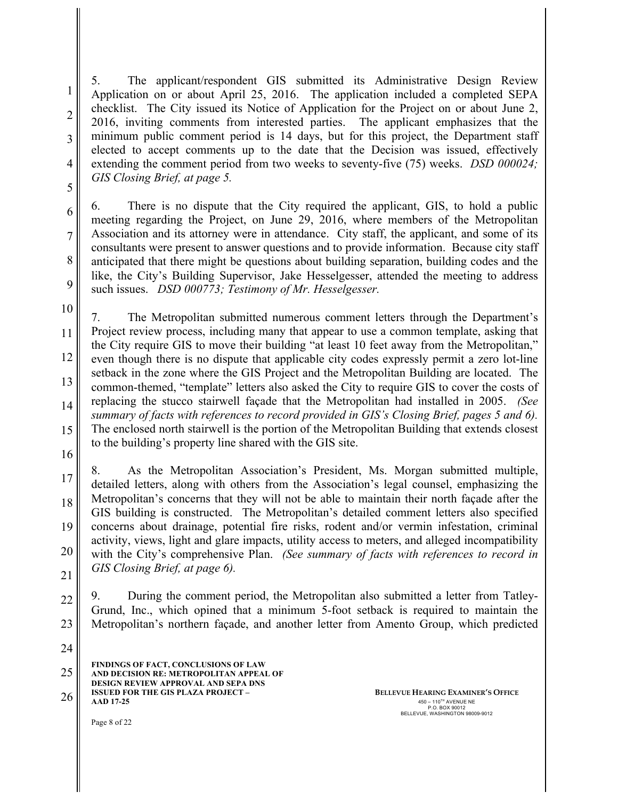5. The applicant/respondent GIS submitted its Administrative Design Review Application on or about April 25, 2016. The application included a completed SEPA checklist. The City issued its Notice of Application for the Project on or about June 2, 2016, inviting comments from interested parties. The applicant emphasizes that the minimum public comment period is 14 days, but for this project, the Department staff elected to accept comments up to the date that the Decision was issued, effectively extending the comment period from two weeks to seventy-five (75) weeks. *DSD 000024; GIS Closing Brief, at page 5.* 

6. There is no dispute that the City required the applicant, GIS, to hold a public meeting regarding the Project, on June 29, 2016, where members of the Metropolitan Association and its attorney were in attendance. City staff, the applicant, and some of its consultants were present to answer questions and to provide information. Because city staff anticipated that there might be questions about building separation, building codes and the like, the City's Building Supervisor, Jake Hesselgesser, attended the meeting to address such issues. *DSD 000773; Testimony of Mr. Hesselgesser.*

10 11 12 13 14 15 16 7. The Metropolitan submitted numerous comment letters through the Department's Project review process, including many that appear to use a common template, asking that the City require GIS to move their building "at least 10 feet away from the Metropolitan," even though there is no dispute that applicable city codes expressly permit a zero lot-line setback in the zone where the GIS Project and the Metropolitan Building are located. The common-themed, "template" letters also asked the City to require GIS to cover the costs of replacing the stucco stairwell façade that the Metropolitan had installed in 2005. *(See summary of facts with references to record provided in GIS's Closing Brief, pages 5 and 6).*  The enclosed north stairwell is the portion of the Metropolitan Building that extends closest to the building's property line shared with the GIS site.

19 8. As the Metropolitan Association's President, Ms. Morgan submitted multiple, detailed letters, along with others from the Association's legal counsel, emphasizing the Metropolitan's concerns that they will not be able to maintain their north façade after the GIS building is constructed. The Metropolitan's detailed comment letters also specified concerns about drainage, potential fire risks, rodent and/or vermin infestation, criminal activity, views, light and glare impacts, utility access to meters, and alleged incompatibility with the City's comprehensive Plan. *(See summary of facts with references to record in GIS Closing Brief, at page 6).*

9. During the comment period, the Metropolitan also submitted a letter from Tatley-Grund, Inc., which opined that a minimum 5-foot setback is required to maintain the Metropolitan's northern façade, and another letter from Amento Group, which predicted

**FINDINGS OF FACT, CONCLUSIONS OF LAW AND DECISION RE: METROPOLITAN APPEAL OF DESIGN REVIEW APPROVAL AND SEPA DNS ISSUED FOR THE GIS PLAZA PROJECT –**<br> **ISSUED FOR THE GIS PLAZA PROJECT –**<br>
26 **BELLEVUE HEARING EXAMINER'S OFFICE AAD 17-25** 25

 $450 - 110^{TH}$  AVENUE NE P.O. BOX 90012 BELLEVUE, WASHINGTON 98009-9012

Page 8 of 22

1

2

3

4

5

6

7

8

9

17

18

20

21

22

23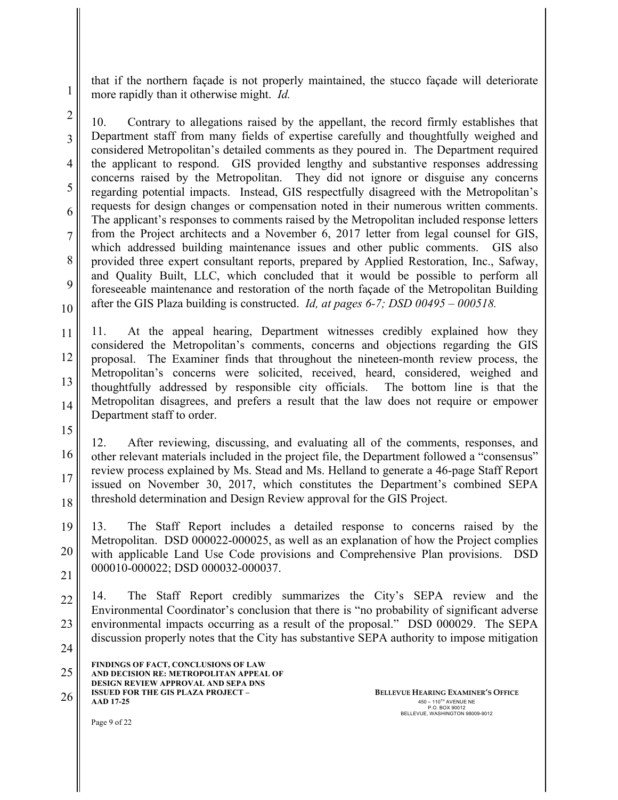that if the northern façade is not properly maintained, the stucco façade will deteriorate more rapidly than it otherwise might. *Id.*

10. Contrary to allegations raised by the appellant, the record firmly establishes that Department staff from many fields of expertise carefully and thoughtfully weighed and considered Metropolitan's detailed comments as they poured in. The Department required the applicant to respond. GIS provided lengthy and substantive responses addressing concerns raised by the Metropolitan. They did not ignore or disguise any concerns regarding potential impacts. Instead, GIS respectfully disagreed with the Metropolitan's requests for design changes or compensation noted in their numerous written comments. The applicant's responses to comments raised by the Metropolitan included response letters from the Project architects and a November 6, 2017 letter from legal counsel for GIS, which addressed building maintenance issues and other public comments. GIS also provided three expert consultant reports, prepared by Applied Restoration, Inc., Safway, and Quality Built, LLC, which concluded that it would be possible to perform all foreseeable maintenance and restoration of the north façade of the Metropolitan Building after the GIS Plaza building is constructed. *Id, at pages 6-7; DSD 00495 – 000518.*

11 12 13 14 11. At the appeal hearing, Department witnesses credibly explained how they considered the Metropolitan's comments, concerns and objections regarding the GIS proposal. The Examiner finds that throughout the nineteen-month review process, the Metropolitan's concerns were solicited, received, heard, considered, weighed and thoughtfully addressed by responsible city officials. The bottom line is that the Metropolitan disagrees, and prefers a result that the law does not require or empower Department staff to order.

15

16

17

18

19

20

21

22

23

24

1

2

3

4

5

6

7

8

9

10

12. After reviewing, discussing, and evaluating all of the comments, responses, and other relevant materials included in the project file, the Department followed a "consensus" review process explained by Ms. Stead and Ms. Helland to generate a 46-page Staff Report issued on November 30, 2017, which constitutes the Department's combined SEPA threshold determination and Design Review approval for the GIS Project.

13. The Staff Report includes a detailed response to concerns raised by the Metropolitan. DSD 000022-000025, as well as an explanation of how the Project complies with applicable Land Use Code provisions and Comprehensive Plan provisions. DSD 000010-000022; DSD 000032-000037.

14. The Staff Report credibly summarizes the City's SEPA review and the Environmental Coordinator's conclusion that there is "no probability of significant adverse environmental impacts occurring as a result of the proposal." DSD 000029. The SEPA discussion properly notes that the City has substantive SEPA authority to impose mitigation

**FINDINGS OF FACT, CONCLUSIONS OF LAW AND DECISION RE: METROPOLITAN APPEAL OF DESIGN REVIEW APPROVAL AND SEPA DNS ISSUED FOR THE GIS PLAZA PROJECT –**<br> **ISSUED FOR THE GIS PLAZA PROJECT –**<br>
26 **BELLEVUE HEARING EXAMINER'S OFFICE AAD 17-25** 25

 $450 - 110^{TH}$  AVENUE NE P.O. BOX 90012 BELLEVUE, WASHINGTON 98009-9012

Page 9 of 22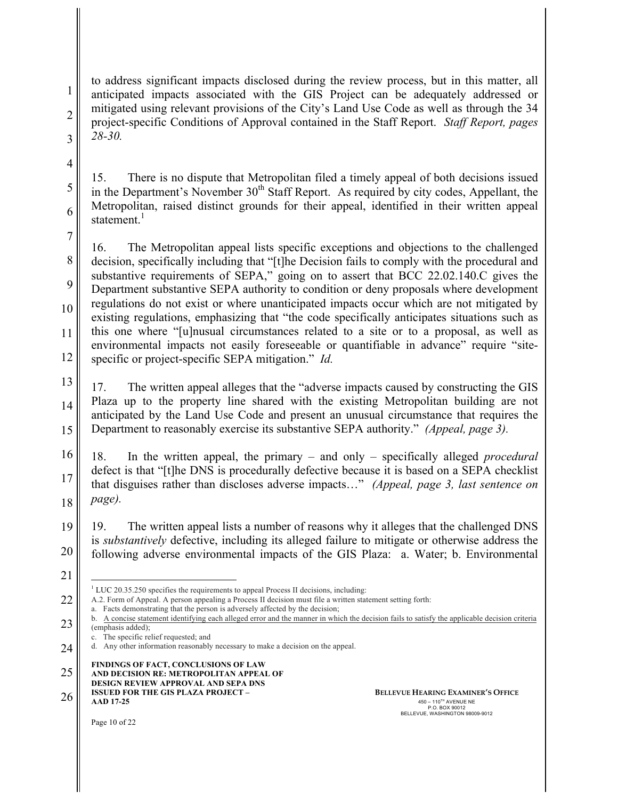to address significant impacts disclosed during the review process, but in this matter, all anticipated impacts associated with the GIS Project can be adequately addressed or mitigated using relevant provisions of the City's Land Use Code as well as through the 34 project-specific Conditions of Approval contained in the Staff Report. *Staff Report, pages 28-30.* 

15. There is no dispute that Metropolitan filed a timely appeal of both decisions issued in the Department's November  $30<sup>th</sup>$  Staff Report. As required by city codes, Appellant, the Metropolitan, raised distinct grounds for their appeal, identified in their written appeal statement. $1$ 

16. The Metropolitan appeal lists specific exceptions and objections to the challenged decision, specifically including that "[t]he Decision fails to comply with the procedural and substantive requirements of SEPA," going on to assert that BCC 22.02.140.C gives the Department substantive SEPA authority to condition or deny proposals where development regulations do not exist or where unanticipated impacts occur which are not mitigated by existing regulations, emphasizing that "the code specifically anticipates situations such as this one where "[u]nusual circumstances related to a site or to a proposal, as well as environmental impacts not easily foreseeable or quantifiable in advance" require "sitespecific or project-specific SEPA mitigation." *Id.*

17. The written appeal alleges that the "adverse impacts caused by constructing the GIS Plaza up to the property line shared with the existing Metropolitan building are not anticipated by the Land Use Code and present an unusual circumstance that requires the Department to reasonably exercise its substantive SEPA authority." *(Appeal, page 3).*

18. In the written appeal, the primary – and only – specifically alleged *procedural* defect is that "[t]he DNS is procedurally defective because it is based on a SEPA checklist that disguises rather than discloses adverse impacts…" *(Appeal, page 3, last sentence on page).*

19. The written appeal lists a number of reasons why it alleges that the challenged DNS is *substantively* defective, including its alleged failure to mitigate or otherwise address the following adverse environmental impacts of the GIS Plaza: a. Water; b. Environmental

21

22

1

2

3

4

5

6

7

8

9

10

11

12

13

14

15

16

17

18

19

20

<sup>1</sup> LUC 20.35.250 specifies the requirements to appeal Process II decisions, including:

A.2. Form of Appeal. A person appealing a Process II decision must file a written statement setting forth:

a. Facts demonstrating that the person is adversely affected by the decision;

- 23 b. A concise statement identifying each alleged error and the manner in which the decision fails to satisfy the applicable decision criteria (emphasis added);
- 24 c. The specific relief requested; and

d. Any other information reasonably necessary to make a decision on the appeal.

**FINDINGS OF FACT, CONCLUSIONS OF LAW AND DECISION RE: METROPOLITAN APPEAL OF DESIGN REVIEW APPROVAL AND SEPA DNS ISSUED FOR THE GIS PLAZA PROJECT –**<br> **ISSUED FOR THE GIS PLAZA PROJECT –**<br>
26 **BELLEVUE HEARING EXAMINER'S OFFICE AAD 17-25** 25

 $450 - 110^{TH}$  AVENUE NE P.O. BOX 90012 BELLEVUE, WASHINGTON 98009-9012

Page 10 of 22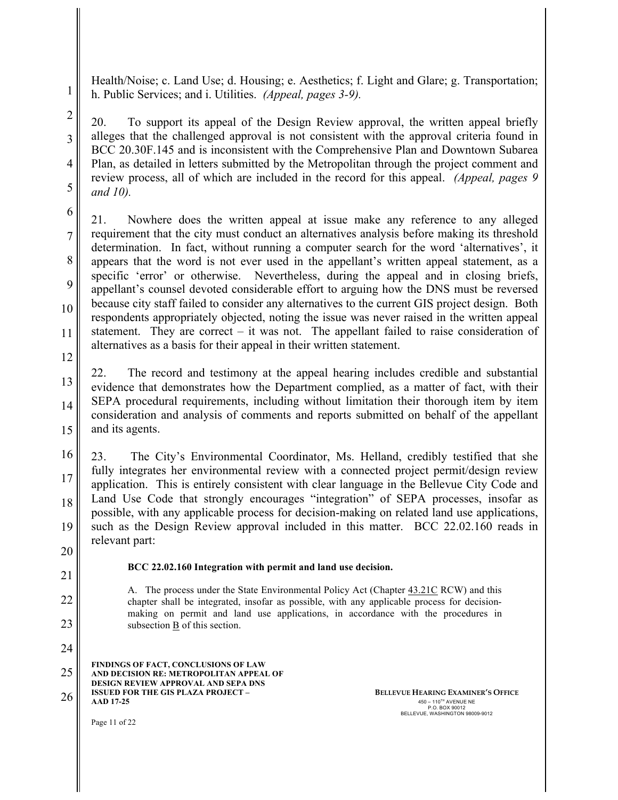Health/Noise; c. Land Use; d. Housing; e. Aesthetics; f. Light and Glare; g. Transportation; h. Public Services; and i. Utilities. *(Appeal, pages 3-9).* 

20. To support its appeal of the Design Review approval, the written appeal briefly alleges that the challenged approval is not consistent with the approval criteria found in BCC 20.30F.145 and is inconsistent with the Comprehensive Plan and Downtown Subarea Plan, as detailed in letters submitted by the Metropolitan through the project comment and review process, all of which are included in the record for this appeal. *(Appeal, pages 9 and 10).*

21. Nowhere does the written appeal at issue make any reference to any alleged requirement that the city must conduct an alternatives analysis before making its threshold determination. In fact, without running a computer search for the word 'alternatives', it appears that the word is not ever used in the appellant's written appeal statement, as a specific 'error' or otherwise. Nevertheless, during the appeal and in closing briefs, appellant's counsel devoted considerable effort to arguing how the DNS must be reversed because city staff failed to consider any alternatives to the current GIS project design. Both respondents appropriately objected, noting the issue was never raised in the written appeal statement. They are correct – it was not. The appellant failed to raise consideration of alternatives as a basis for their appeal in their written statement.

12

13

14

15

1

2

3

4

5

6

7

8

9

10

11

22. The record and testimony at the appeal hearing includes credible and substantial evidence that demonstrates how the Department complied, as a matter of fact, with their SEPA procedural requirements, including without limitation their thorough item by item consideration and analysis of comments and reports submitted on behalf of the appellant and its agents.

16 17 18 19 20 23. The City's Environmental Coordinator, Ms. Helland, credibly testified that she fully integrates her environmental review with a connected project permit/design review application. This is entirely consistent with clear language in the Bellevue City Code and Land Use Code that strongly encourages "integration" of SEPA processes, insofar as possible, with any applicable process for decision-making on related land use applications, such as the Design Review approval included in this matter. BCC 22.02.160 reads in relevant part:

21

22

23

24

#### **BCC 22.02.160 Integration with permit and land use decision.**

A. The process under the State Environmental Policy Act (Chapter 43.21C RCW) and this chapter shall be integrated, insofar as possible, with any applicable process for decisionmaking on permit and land use applications, in accordance with the procedures in subsection B of this section.

**FINDINGS OF FACT, CONCLUSIONS OF LAW AND DECISION RE: METROPOLITAN APPEAL OF DESIGN REVIEW APPROVAL AND SEPA DNS ISSUED FOR THE GIS PLAZA PROJECT –**<br> **ISSUED FOR THE GIS PLAZA PROJECT –**<br>
26 **BELLEVUE HEARING EXAMINER'S OFFICE AAD 17-25** 25

 $450 - 110^{TH}$  AVENUE NE P.O. BOX 90012 BELLEVUE, WASHINGTON 98009-9012

Page 11 of 22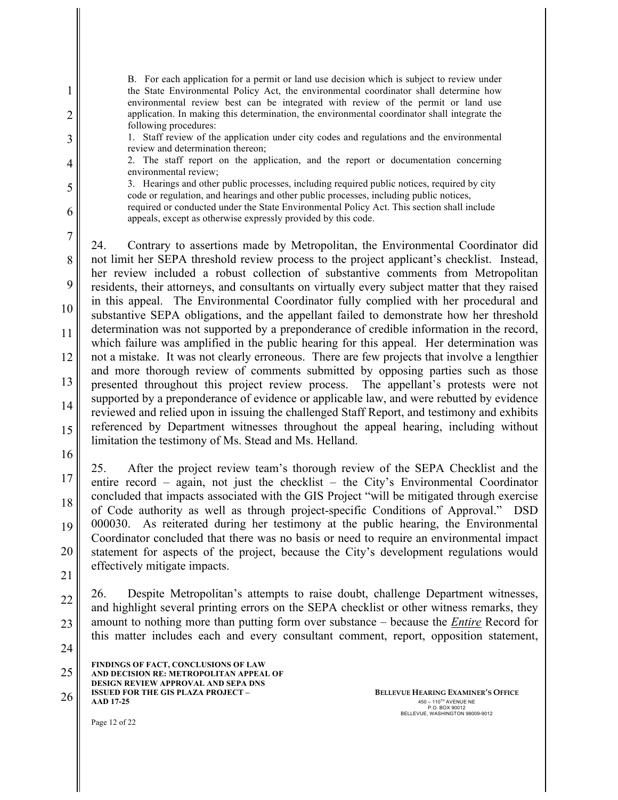the State Environmental Policy Act, the environmental coordinator shall determine how environmental review best can be integrated with review of the permit or land use application. In making this determination, the environmental coordinator shall integrate the following procedures: 1. Staff review of the application under city codes and regulations and the environmental review and determination thereon; 2. The staff report on the application, and the report or documentation concerning environmental review; 3. Hearings and other public processes, including required public notices, required by city code or regulation, and hearings and other public processes, including public notices, required or conducted under the State Environmental Policy Act. This section shall include appeals, except as otherwise expressly provided by this code. 24. Contrary to assertions made by Metropolitan, the Environmental Coordinator did not limit her SEPA threshold review process to the project applicant's checklist. Instead, her review included a robust collection of substantive comments from Metropolitan residents, their attorneys, and consultants on virtually every subject matter that they raised in this appeal. The Environmental Coordinator fully complied with her procedural and substantive SEPA obligations, and the appellant failed to demonstrate how her threshold determination was not supported by a preponderance of credible information in the record, which failure was amplified in the public hearing for this appeal. Her determination was not a mistake. It was not clearly erroneous. There are few projects that involve a lengthier and more thorough review of comments submitted by opposing parties such as those presented throughout this project review process. The appellant's protests were not supported by a preponderance of evidence or applicable law, and were rebutted by evidence reviewed and relied upon in issuing the challenged Staff Report, and testimony and exhibits referenced by Department witnesses throughout the appeal hearing, including without limitation the testimony of Ms. Stead and Ms. Helland.

B. For each application for a permit or land use decision which is subject to review under

25. After the project review team's thorough review of the SEPA Checklist and the entire record – again, not just the checklist – the City's Environmental Coordinator concluded that impacts associated with the GIS Project "will be mitigated through exercise of Code authority as well as through project-specific Conditions of Approval." DSD 000030. As reiterated during her testimony at the public hearing, the Environmental Coordinator concluded that there was no basis or need to require an environmental impact statement for aspects of the project, because the City's development regulations would effectively mitigate impacts.

26. Despite Metropolitan's attempts to raise doubt, challenge Department witnesses, and highlight several printing errors on the SEPA checklist or other witness remarks, they amount to nothing more than putting form over substance – because the *Entire* Record for this matter includes each and every consultant comment, report, opposition statement,

**FINDINGS OF FACT, CONCLUSIONS OF LAW AND DECISION RE: METROPOLITAN APPEAL OF DESIGN REVIEW APPROVAL AND SEPA DNS ISSUED FOR THE GIS PLAZA PROJECT –**<br> **ISSUED FOR THE GIS PLAZA PROJECT –**<br>
26 **BELLEVUE HEARING EXAMINER'S OFFICE AAD 17-25** 25

 $450 - 110^{TH}$  AVENUE NE P.O. BOX 90012 BELLEVUE, WASHINGTON 98009-9012

Page 12 of 22

1

2

3

4

5

6

7

8

9

10

11

12

13

14

15

16

17

18

19

20

21

22

23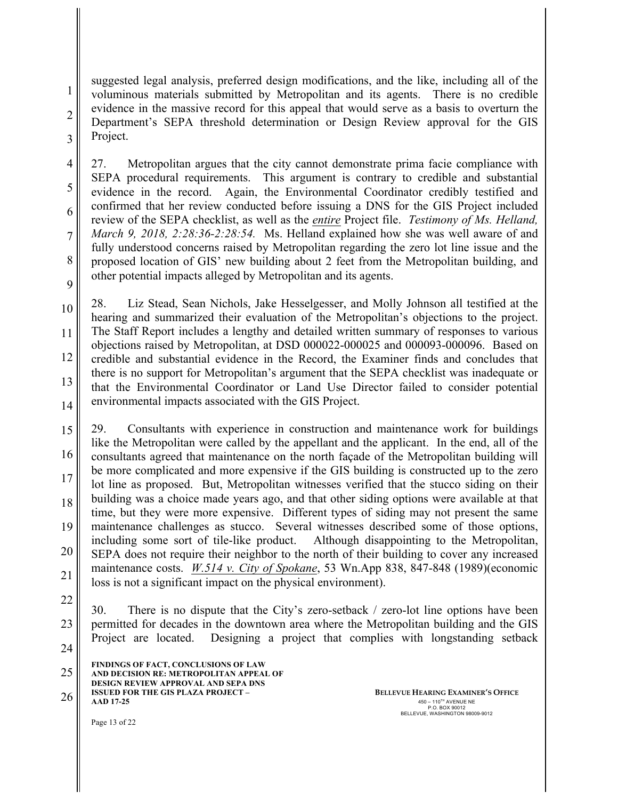suggested legal analysis, preferred design modifications, and the like, including all of the voluminous materials submitted by Metropolitan and its agents. There is no credible evidence in the massive record for this appeal that would serve as a basis to overturn the Department's SEPA threshold determination or Design Review approval for the GIS Project.

27. Metropolitan argues that the city cannot demonstrate prima facie compliance with SEPA procedural requirements. This argument is contrary to credible and substantial evidence in the record. Again, the Environmental Coordinator credibly testified and confirmed that her review conducted before issuing a DNS for the GIS Project included review of the SEPA checklist, as well as the *entire* Project file. *Testimony of Ms. Helland, March 9, 2018, 2:28:36-2:28:54.* Ms. Helland explained how she was well aware of and fully understood concerns raised by Metropolitan regarding the zero lot line issue and the proposed location of GIS' new building about 2 feet from the Metropolitan building, and other potential impacts alleged by Metropolitan and its agents.

10 11 12 13 14 28. Liz Stead, Sean Nichols, Jake Hesselgesser, and Molly Johnson all testified at the hearing and summarized their evaluation of the Metropolitan's objections to the project. The Staff Report includes a lengthy and detailed written summary of responses to various objections raised by Metropolitan, at DSD 000022-000025 and 000093-000096. Based on credible and substantial evidence in the Record, the Examiner finds and concludes that there is no support for Metropolitan's argument that the SEPA checklist was inadequate or that the Environmental Coordinator or Land Use Director failed to consider potential environmental impacts associated with the GIS Project.

15 16 17 18 19 20 21 29. Consultants with experience in construction and maintenance work for buildings like the Metropolitan were called by the appellant and the applicant. In the end, all of the consultants agreed that maintenance on the north façade of the Metropolitan building will be more complicated and more expensive if the GIS building is constructed up to the zero lot line as proposed. But, Metropolitan witnesses verified that the stucco siding on their building was a choice made years ago, and that other siding options were available at that time, but they were more expensive. Different types of siding may not present the same maintenance challenges as stucco. Several witnesses described some of those options, including some sort of tile-like product. Although disappointing to the Metropolitan, SEPA does not require their neighbor to the north of their building to cover any increased maintenance costs. *W.514 v. City of Spokane*, 53 Wn.App 838, 847-848 (1989)(economic loss is not a significant impact on the physical environment).

22

23

24

1

2

3

4

5

6

7

8

9

30. There is no dispute that the City's zero-setback / zero-lot line options have been permitted for decades in the downtown area where the Metropolitan building and the GIS Project are located. Designing a project that complies with longstanding setback

```
FINDINGS OF FACT, CONCLUSIONS OF LAW 
       AND DECISION RE: METROPOLITAN APPEAL OF 
       DESIGN REVIEW APPROVAL AND SEPA DNS 
ISSUED FOR THE GIS PLAZA PROJECT –<br>
ISSUED FOR THE GIS PLAZA PROJECT –<br>
26 BELLEVUE HEARING EXAMINER'S OFFICE
      AAD 17-25
25
```
 $450 - 110^{TH}$  AVENUE NE P.O. BOX 90012 BELLEVUE, WASHINGTON 98009-9012

Page 13 of 22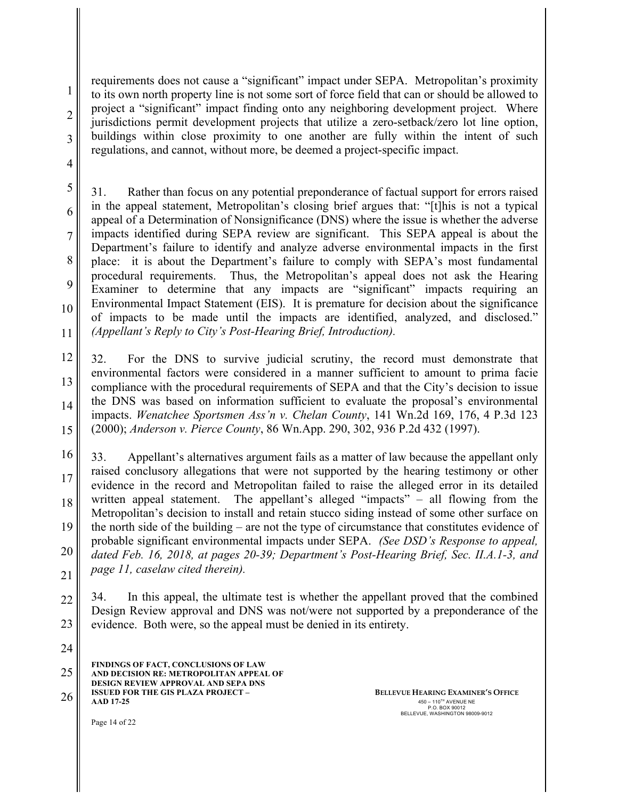requirements does not cause a "significant" impact under SEPA. Metropolitan's proximity to its own north property line is not some sort of force field that can or should be allowed to project a "significant" impact finding onto any neighboring development project. Where jurisdictions permit development projects that utilize a zero-setback/zero lot line option, buildings within close proximity to one another are fully within the intent of such regulations, and cannot, without more, be deemed a project-specific impact.

31. Rather than focus on any potential preponderance of factual support for errors raised in the appeal statement, Metropolitan's closing brief argues that: "[t]his is not a typical appeal of a Determination of Nonsignificance (DNS) where the issue is whether the adverse impacts identified during SEPA review are significant. This SEPA appeal is about the Department's failure to identify and analyze adverse environmental impacts in the first place: it is about the Department's failure to comply with SEPA's most fundamental procedural requirements. Thus, the Metropolitan's appeal does not ask the Hearing Examiner to determine that any impacts are "significant" impacts requiring an Environmental Impact Statement (EIS). It is premature for decision about the significance of impacts to be made until the impacts are identified, analyzed, and disclosed." *(Appellant's Reply to City's Post-Hearing Brief, Introduction).*

12 32. For the DNS to survive judicial scrutiny, the record must demonstrate that environmental factors were considered in a manner sufficient to amount to prima facie compliance with the procedural requirements of SEPA and that the City's decision to issue the DNS was based on information sufficient to evaluate the proposal's environmental impacts. *Wenatchee Sportsmen Ass'n v. Chelan County*, 141 Wn.2d 169, 176, 4 P.3d 123 (2000); *Anderson v. Pierce County*, 86 Wn.App. 290, 302, 936 P.2d 432 (1997).

16 17 18 19 20 21 33. Appellant's alternatives argument fails as a matter of law because the appellant only raised conclusory allegations that were not supported by the hearing testimony or other evidence in the record and Metropolitan failed to raise the alleged error in its detailed written appeal statement. The appellant's alleged "impacts" – all flowing from the Metropolitan's decision to install and retain stucco siding instead of some other surface on the north side of the building – are not the type of circumstance that constitutes evidence of probable significant environmental impacts under SEPA. *(See DSD's Response to appeal, dated Feb. 16, 2018, at pages 20-39; Department's Post-Hearing Brief, Sec. II.A.1-3, and page 11, caselaw cited therein).*

34. In this appeal, the ultimate test is whether the appellant proved that the combined Design Review approval and DNS was not/were not supported by a preponderance of the evidence. Both were, so the appeal must be denied in its entirety.

**FINDINGS OF FACT, CONCLUSIONS OF LAW AND DECISION RE: METROPOLITAN APPEAL OF DESIGN REVIEW APPROVAL AND SEPA DNS ISSUED FOR THE GIS PLAZA PROJECT –**<br> **ISSUED FOR THE GIS PLAZA PROJECT –**<br>
26 **BELLEVUE HEARING EXAMINER'S OFFICE AAD 17-25** 25

 $450 - 110^{TH}$  AVENUE NE P.O. BOX 90012 BELLEVUE, WASHINGTON 98009-9012

Page 14 of 22

1

2

3

4

5

6

7

8

9

10

11

13

14

15

22

23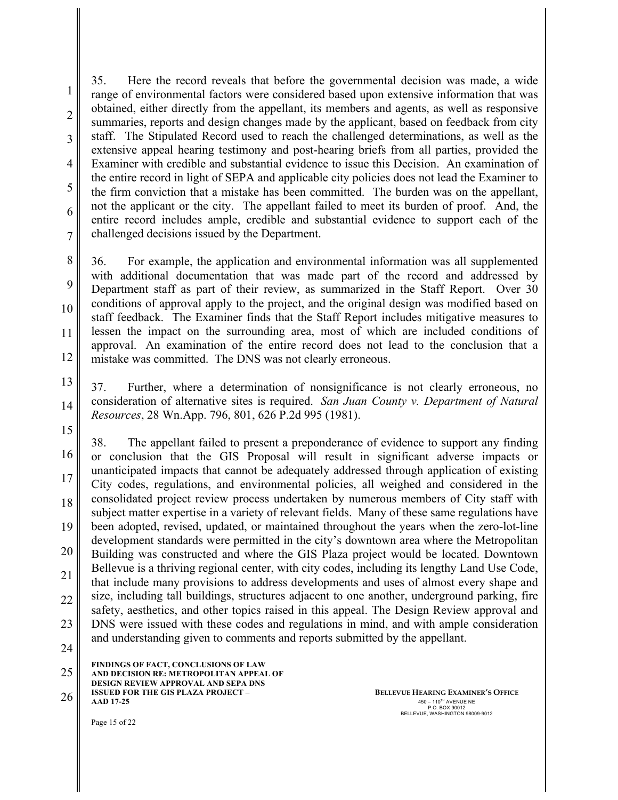35. Here the record reveals that before the governmental decision was made, a wide range of environmental factors were considered based upon extensive information that was obtained, either directly from the appellant, its members and agents, as well as responsive summaries, reports and design changes made by the applicant, based on feedback from city staff. The Stipulated Record used to reach the challenged determinations, as well as the extensive appeal hearing testimony and post-hearing briefs from all parties, provided the Examiner with credible and substantial evidence to issue this Decision. An examination of the entire record in light of SEPA and applicable city policies does not lead the Examiner to the firm conviction that a mistake has been committed. The burden was on the appellant, not the applicant or the city. The appellant failed to meet its burden of proof. And, the entire record includes ample, credible and substantial evidence to support each of the challenged decisions issued by the Department.

8 10 11 12 36. For example, the application and environmental information was all supplemented with additional documentation that was made part of the record and addressed by Department staff as part of their review, as summarized in the Staff Report. Over 30 conditions of approval apply to the project, and the original design was modified based on staff feedback. The Examiner finds that the Staff Report includes mitigative measures to lessen the impact on the surrounding area, most of which are included conditions of approval. An examination of the entire record does not lead to the conclusion that a mistake was committed. The DNS was not clearly erroneous.

37. Further, where a determination of nonsignificance is not clearly erroneous, no consideration of alternative sites is required. *San Juan County v. Department of Natural Resources*, 28 Wn.App. 796, 801, 626 P.2d 995 (1981).

16 17 18 19 20 21 22 23 24 38. The appellant failed to present a preponderance of evidence to support any finding or conclusion that the GIS Proposal will result in significant adverse impacts or unanticipated impacts that cannot be adequately addressed through application of existing City codes, regulations, and environmental policies, all weighed and considered in the consolidated project review process undertaken by numerous members of City staff with subject matter expertise in a variety of relevant fields. Many of these same regulations have been adopted, revised, updated, or maintained throughout the years when the zero-lot-line development standards were permitted in the city's downtown area where the Metropolitan Building was constructed and where the GIS Plaza project would be located. Downtown Bellevue is a thriving regional center, with city codes, including its lengthy Land Use Code, that include many provisions to address developments and uses of almost every shape and size, including tall buildings, structures adjacent to one another, underground parking, fire safety, aesthetics, and other topics raised in this appeal. The Design Review approval and DNS were issued with these codes and regulations in mind, and with ample consideration and understanding given to comments and reports submitted by the appellant.

**FINDINGS OF FACT, CONCLUSIONS OF LAW AND DECISION RE: METROPOLITAN APPEAL OF DESIGN REVIEW APPROVAL AND SEPA DNS ISSUED FOR THE GIS PLAZA PROJECT –**<br> **ISSUED FOR THE GIS PLAZA PROJECT –**<br>
26 **BELLEVUE HEARING EXAMINER'S OFFICE AAD 17-25** 25

 $450 - 110^{TH}$  AVENUE NE P.O. BOX 90012 BELLEVUE, WASHINGTON 98009-9012

Page 15 of 22

1

2

3

4

5

6

7

9

13

14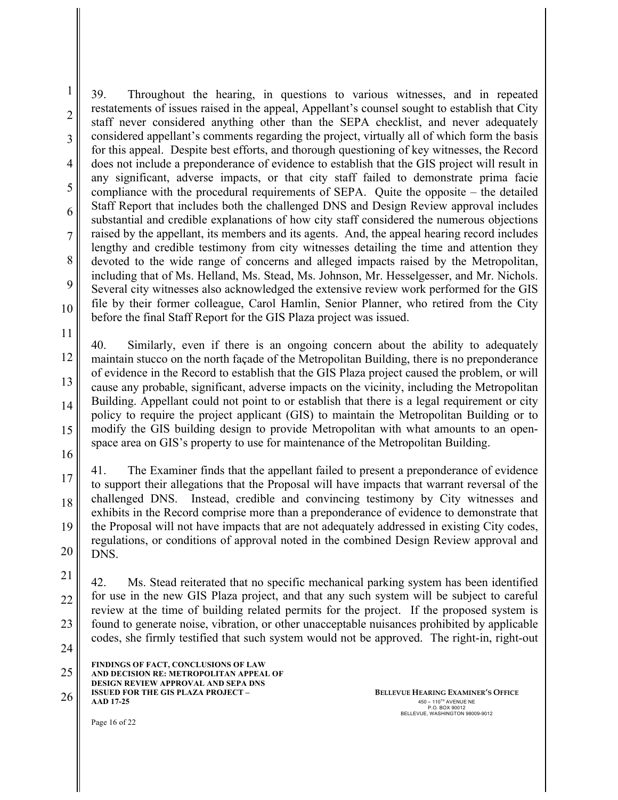1 2 3 4 5 6 7 8 9 10 39. Throughout the hearing, in questions to various witnesses, and in repeated restatements of issues raised in the appeal, Appellant's counsel sought to establish that City staff never considered anything other than the SEPA checklist, and never adequately considered appellant's comments regarding the project, virtually all of which form the basis for this appeal. Despite best efforts, and thorough questioning of key witnesses, the Record does not include a preponderance of evidence to establish that the GIS project will result in any significant, adverse impacts, or that city staff failed to demonstrate prima facie compliance with the procedural requirements of SEPA. Quite the opposite – the detailed Staff Report that includes both the challenged DNS and Design Review approval includes substantial and credible explanations of how city staff considered the numerous objections raised by the appellant, its members and its agents. And, the appeal hearing record includes lengthy and credible testimony from city witnesses detailing the time and attention they devoted to the wide range of concerns and alleged impacts raised by the Metropolitan, including that of Ms. Helland, Ms. Stead, Ms. Johnson, Mr. Hesselgesser, and Mr. Nichols. Several city witnesses also acknowledged the extensive review work performed for the GIS file by their former colleague, Carol Hamlin, Senior Planner, who retired from the City before the final Staff Report for the GIS Plaza project was issued.

40. Similarly, even if there is an ongoing concern about the ability to adequately maintain stucco on the north façade of the Metropolitan Building, there is no preponderance of evidence in the Record to establish that the GIS Plaza project caused the problem, or will cause any probable, significant, adverse impacts on the vicinity, including the Metropolitan Building. Appellant could not point to or establish that there is a legal requirement or city policy to require the project applicant (GIS) to maintain the Metropolitan Building or to modify the GIS building design to provide Metropolitan with what amounts to an openspace area on GIS's property to use for maintenance of the Metropolitan Building.

17 18 19 20 41. The Examiner finds that the appellant failed to present a preponderance of evidence to support their allegations that the Proposal will have impacts that warrant reversal of the challenged DNS. Instead, credible and convincing testimony by City witnesses and exhibits in the Record comprise more than a preponderance of evidence to demonstrate that the Proposal will not have impacts that are not adequately addressed in existing City codes, regulations, or conditions of approval noted in the combined Design Review approval and DNS.

42. Ms. Stead reiterated that no specific mechanical parking system has been identified for use in the new GIS Plaza project, and that any such system will be subject to careful review at the time of building related permits for the project. If the proposed system is found to generate noise, vibration, or other unacceptable nuisances prohibited by applicable codes, she firmly testified that such system would not be approved. The right-in, right-out

**FINDINGS OF FACT, CONCLUSIONS OF LAW AND DECISION RE: METROPOLITAN APPEAL OF DESIGN REVIEW APPROVAL AND SEPA DNS ISSUED FOR THE GIS PLAZA PROJECT –**<br> **ISSUED FOR THE GIS PLAZA PROJECT –**<br>
26 **BELLEVUE HEARING EXAMINER'S OFFICE AAD 17-25** 25

 $450 - 110^{TH}$  AVENUE NE P.O. BOX 90012 BELLEVUE, WASHINGTON 98009-9012

Page 16 of 22

11

12

13

14

15

16

21

22

23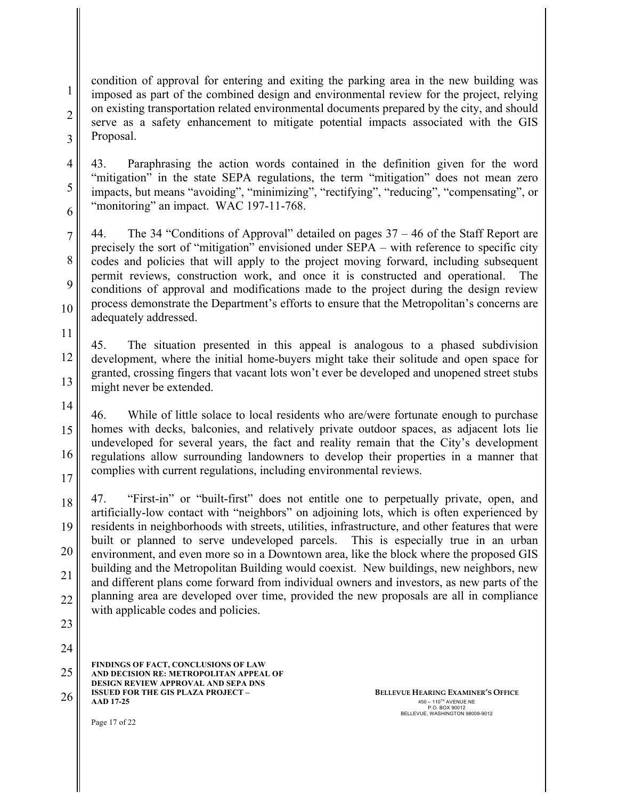condition of approval for entering and exiting the parking area in the new building was imposed as part of the combined design and environmental review for the project, relying on existing transportation related environmental documents prepared by the city, and should serve as a safety enhancement to mitigate potential impacts associated with the GIS Proposal.

43. Paraphrasing the action words contained in the definition given for the word "mitigation" in the state SEPA regulations, the term "mitigation" does not mean zero impacts, but means "avoiding", "minimizing", "rectifying", "reducing", "compensating", or "monitoring" an impact. WAC 197-11-768.

44. The 34 "Conditions of Approval" detailed on pages 37 – 46 of the Staff Report are precisely the sort of "mitigation" envisioned under SEPA – with reference to specific city codes and policies that will apply to the project moving forward, including subsequent permit reviews, construction work, and once it is constructed and operational. The conditions of approval and modifications made to the project during the design review process demonstrate the Department's efforts to ensure that the Metropolitan's concerns are adequately addressed.

45. The situation presented in this appeal is analogous to a phased subdivision development, where the initial home-buyers might take their solitude and open space for granted, crossing fingers that vacant lots won't ever be developed and unopened street stubs might never be extended.

46. While of little solace to local residents who are/were fortunate enough to purchase homes with decks, balconies, and relatively private outdoor spaces, as adjacent lots lie undeveloped for several years, the fact and reality remain that the City's development regulations allow surrounding landowners to develop their properties in a manner that complies with current regulations, including environmental reviews.

18 19 20 21 22 23 47. "First-in" or "built-first" does not entitle one to perpetually private, open, and artificially-low contact with "neighbors" on adjoining lots, which is often experienced by residents in neighborhoods with streets, utilities, infrastructure, and other features that were built or planned to serve undeveloped parcels. This is especially true in an urban environment, and even more so in a Downtown area, like the block where the proposed GIS building and the Metropolitan Building would coexist. New buildings, new neighbors, new and different plans come forward from individual owners and investors, as new parts of the planning area are developed over time, provided the new proposals are all in compliance with applicable codes and policies.

**FINDINGS OF FACT, CONCLUSIONS OF LAW AND DECISION RE: METROPOLITAN APPEAL OF DESIGN REVIEW APPROVAL AND SEPA DNS ISSUED FOR THE GIS PLAZA PROJECT –**<br> **ISSUED FOR THE GIS PLAZA PROJECT –**<br>
26 **BELLEVUE HEARING EXAMINER'S OFFICE AAD 17-25** 25

 $450 - 110^{TH}$  AVENUE NE P.O. BOX 90012 BELLEVUE, WASHINGTON 98009-9012

Page 17 of 22

1

2

3

4

5

6

7

8

9

10

11

12

13

14

15

16

17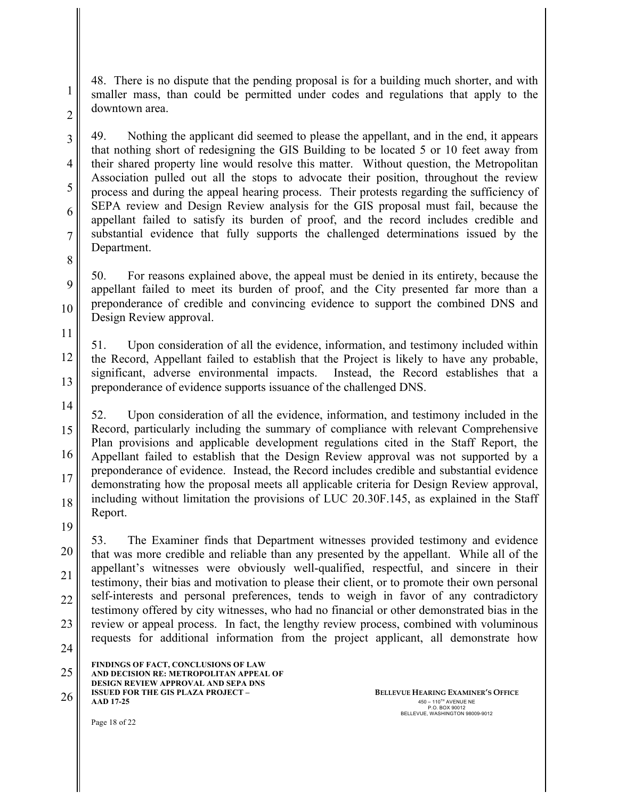48. There is no dispute that the pending proposal is for a building much shorter, and with smaller mass, than could be permitted under codes and regulations that apply to the downtown area.

49. Nothing the applicant did seemed to please the appellant, and in the end, it appears that nothing short of redesigning the GIS Building to be located 5 or 10 feet away from their shared property line would resolve this matter. Without question, the Metropolitan Association pulled out all the stops to advocate their position, throughout the review process and during the appeal hearing process. Their protests regarding the sufficiency of SEPA review and Design Review analysis for the GIS proposal must fail, because the appellant failed to satisfy its burden of proof, and the record includes credible and substantial evidence that fully supports the challenged determinations issued by the Department.

50. For reasons explained above, the appeal must be denied in its entirety, because the appellant failed to meet its burden of proof, and the City presented far more than a preponderance of credible and convincing evidence to support the combined DNS and Design Review approval.

51. Upon consideration of all the evidence, information, and testimony included within the Record, Appellant failed to establish that the Project is likely to have any probable, significant, adverse environmental impacts. Instead, the Record establishes that a preponderance of evidence supports issuance of the challenged DNS.

14 15 16 18 52. Upon consideration of all the evidence, information, and testimony included in the Record, particularly including the summary of compliance with relevant Comprehensive Plan provisions and applicable development regulations cited in the Staff Report, the Appellant failed to establish that the Design Review approval was not supported by a preponderance of evidence. Instead, the Record includes credible and substantial evidence demonstrating how the proposal meets all applicable criteria for Design Review approval, including without limitation the provisions of LUC 20.30F.145, as explained in the Staff Report.

53. The Examiner finds that Department witnesses provided testimony and evidence that was more credible and reliable than any presented by the appellant. While all of the appellant's witnesses were obviously well-qualified, respectful, and sincere in their testimony, their bias and motivation to please their client, or to promote their own personal self-interests and personal preferences, tends to weigh in favor of any contradictory testimony offered by city witnesses, who had no financial or other demonstrated bias in the review or appeal process. In fact, the lengthy review process, combined with voluminous requests for additional information from the project applicant, all demonstrate how

**FINDINGS OF FACT, CONCLUSIONS OF LAW AND DECISION RE: METROPOLITAN APPEAL OF DESIGN REVIEW APPROVAL AND SEPA DNS ISSUED FOR THE GIS PLAZA PROJECT –**<br> **ISSUED FOR THE GIS PLAZA PROJECT –**<br>
26 **BELLEVUE HEARING EXAMINER'S OFFICE AAD 17-25** 25

 $450 - 110^{TH}$  AVENUE NE P.O. BOX 90012 BELLEVUE, WASHINGTON 98009-9012

Page 18 of 22

1

2

3

4

5

6

7

8

9

10

11

12

13

17

19

20

21

22

23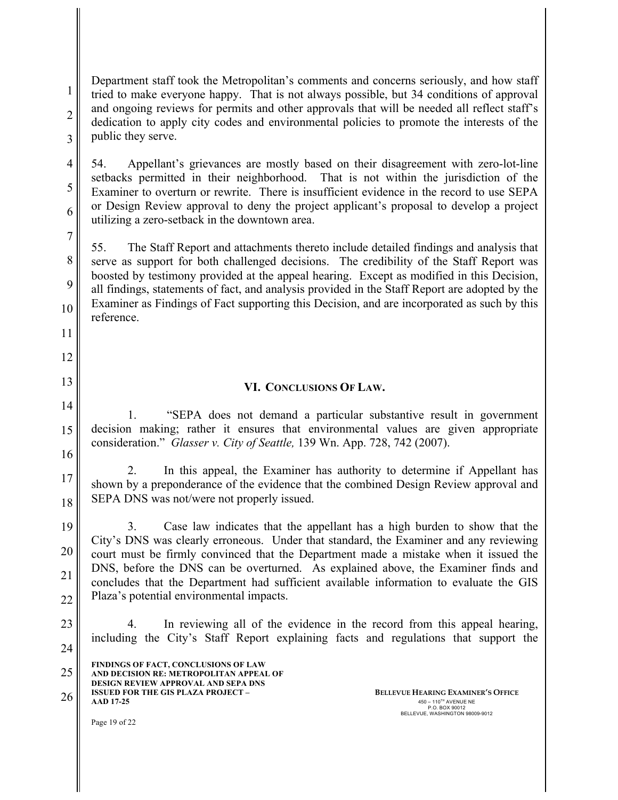Department staff took the Metropolitan's comments and concerns seriously, and how staff tried to make everyone happy. That is not always possible, but 34 conditions of approval and ongoing reviews for permits and other approvals that will be needed all reflect staff's dedication to apply city codes and environmental policies to promote the interests of the public they serve.

54. Appellant's grievances are mostly based on their disagreement with zero-lot-line setbacks permitted in their neighborhood. That is not within the jurisdiction of the Examiner to overturn or rewrite. There is insufficient evidence in the record to use SEPA or Design Review approval to deny the project applicant's proposal to develop a project utilizing a zero-setback in the downtown area.

55. The Staff Report and attachments thereto include detailed findings and analysis that serve as support for both challenged decisions. The credibility of the Staff Report was boosted by testimony provided at the appeal hearing. Except as modified in this Decision, all findings, statements of fact, and analysis provided in the Staff Report are adopted by the Examiner as Findings of Fact supporting this Decision, and are incorporated as such by this reference.

# **VI. CONCLUSIONS OF LAW.**

1. "SEPA does not demand a particular substantive result in government decision making; rather it ensures that environmental values are given appropriate consideration." *Glasser v. City of Seattle,* 139 Wn. App. 728, 742 (2007).

2. In this appeal, the Examiner has authority to determine if Appellant has shown by a preponderance of the evidence that the combined Design Review approval and SEPA DNS was not/were not properly issued.

3. Case law indicates that the appellant has a high burden to show that the City's DNS was clearly erroneous. Under that standard, the Examiner and any reviewing court must be firmly convinced that the Department made a mistake when it issued the DNS, before the DNS can be overturned. As explained above, the Examiner finds and concludes that the Department had sufficient available information to evaluate the GIS Plaza's potential environmental impacts.

4. In reviewing all of the evidence in the record from this appeal hearing, including the City's Staff Report explaining facts and regulations that support the

**FINDINGS OF FACT, CONCLUSIONS OF LAW AND DECISION RE: METROPOLITAN APPEAL OF DESIGN REVIEW APPROVAL AND SEPA DNS ISSUED FOR THE GIS PLAZA PROJECT –**<br> **ISSUED FOR THE GIS PLAZA PROJECT –**<br>
26 **BELLEVUE HEARING EXAMINER'S OFFICE AAD 17-25** 25

 $450 - 110^{TH}$  AVENUE NE P.O. BOX 90012 BELLEVUE, WASHINGTON 98009-9012

Page 19 of 22

1

2

3

4

5

6

7

8

9

10

11

12

13

14

15

16

17

18

19

20

21

22

23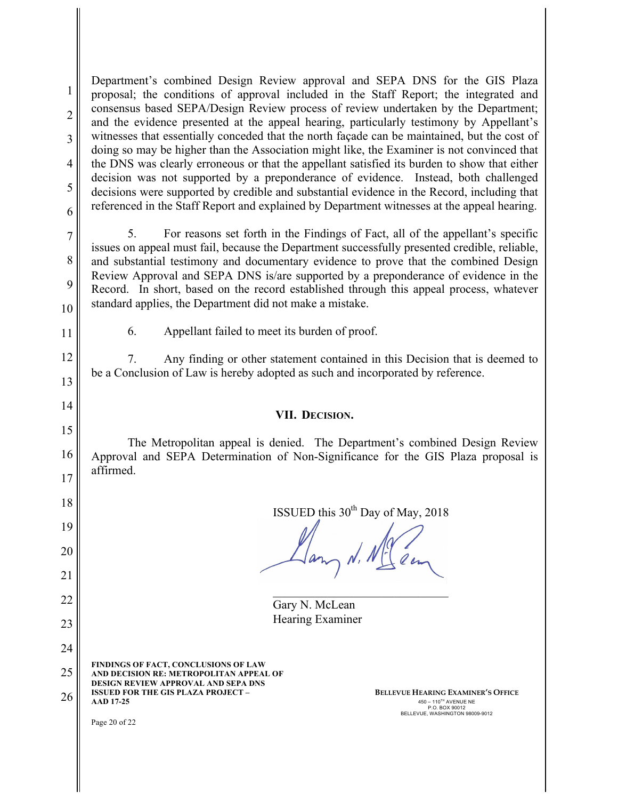3 4 5 6 Department's combined Design Review approval and SEPA DNS for the GIS Plaza proposal; the conditions of approval included in the Staff Report; the integrated and consensus based SEPA/Design Review process of review undertaken by the Department; and the evidence presented at the appeal hearing, particularly testimony by Appellant's witnesses that essentially conceded that the north façade can be maintained, but the cost of doing so may be higher than the Association might like, the Examiner is not convinced that the DNS was clearly erroneous or that the appellant satisfied its burden to show that either decision was not supported by a preponderance of evidence. Instead, both challenged decisions were supported by credible and substantial evidence in the Record, including that referenced in the Staff Report and explained by Department witnesses at the appeal hearing.

5. For reasons set forth in the Findings of Fact, all of the appellant's specific issues on appeal must fail, because the Department successfully presented credible, reliable, and substantial testimony and documentary evidence to prove that the combined Design Review Approval and SEPA DNS is/are supported by a preponderance of evidence in the Record. In short, based on the record established through this appeal process, whatever standard applies, the Department did not make a mistake.

6. Appellant failed to meet its burden of proof.

7. Any finding or other statement contained in this Decision that is deemed to be a Conclusion of Law is hereby adopted as such and incorporated by reference.

#### **VII. DECISION.**

The Metropolitan appeal is denied. The Department's combined Design Review Approval and SEPA Determination of Non-Significance for the GIS Plaza proposal is affirmed.

| 17      |  |
|---------|--|
| 18      |  |
| 19      |  |
| 20      |  |
| 21      |  |
| 22      |  |
| 23      |  |
| 24      |  |
| 25<br>2 |  |
|         |  |

1

2

7

8

9

10

11

12

13

14

15

16

ISSUED this 30th Day of May, 2018

 $\sum_{i=1}^n\frac{1}{i!}\sum_{j=1}^n\frac{1}{j!}\sum_{j=1}^n\frac{1}{j!}\sum_{j=1}^n\frac{1}{j!}\sum_{j=1}^n\frac{1}{j!}\sum_{j=1}^n\frac{1}{j!}\sum_{j=1}^n\frac{1}{j!}\sum_{j=1}^n\frac{1}{j!}\sum_{j=1}^n\frac{1}{j!}\sum_{j=1}^n\frac{1}{j!}\sum_{j=1}^n\frac{1}{j!}\sum_{j=1}^n\frac{1}{j!}\sum_{j=1}^n\frac{1}{j!}\sum_{j=1}^n\frac{$ 

Gary N. McLean Hearing Examiner

|    | <b>FINDINGS OF FACT, CONCLUSIONS OF LAW</b> |                                           |
|----|---------------------------------------------|-------------------------------------------|
| 25 | AND DECISION RE: METROPOLITAN APPEAL OF     |                                           |
|    | <b>DESIGN REVIEW APPROVAL AND SEPA DNS</b>  |                                           |
| 26 | <b>ISSUED FOR THE GIS PLAZA PROJECT -</b>   | <b>BELLEVUE HEARING EXAMINER'S OFFICE</b> |
|    | AAD 17-25                                   | $450 - 110^{TH}$ AVENUE NE                |

450 – 110TH AVENUE NE P.O. BOX 90012 BELLEVUE, WASHINGTON 98009-9012

Page 20 of 22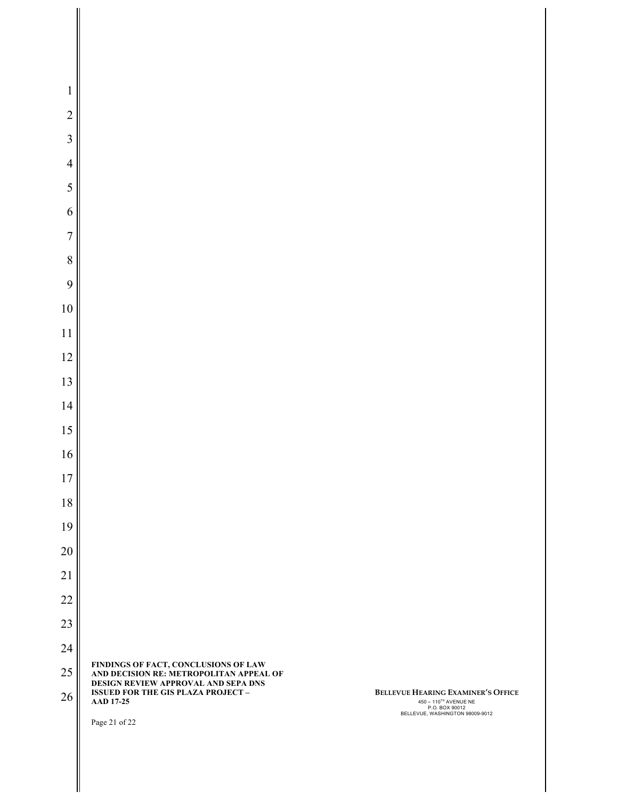| $\,1$                   |                                                                                                                        |
|-------------------------|------------------------------------------------------------------------------------------------------------------------|
| $\overline{c}$          |                                                                                                                        |
| $\overline{\mathbf{3}}$ |                                                                                                                        |
| $\overline{4}$          |                                                                                                                        |
| 5                       |                                                                                                                        |
| $\boldsymbol{6}$        |                                                                                                                        |
| $\overline{7}$          |                                                                                                                        |
| $\,8\,$                 |                                                                                                                        |
| 9                       |                                                                                                                        |
| $10\,$                  |                                                                                                                        |
| 11                      |                                                                                                                        |
| $12\,$                  |                                                                                                                        |
| 13                      |                                                                                                                        |
| 14                      |                                                                                                                        |
| 15                      |                                                                                                                        |
| 16                      |                                                                                                                        |
| 17                      |                                                                                                                        |
| 18                      |                                                                                                                        |
| 19                      |                                                                                                                        |
| 20                      |                                                                                                                        |
| 21                      |                                                                                                                        |
| 22                      |                                                                                                                        |
| 23                      |                                                                                                                        |
| 24<br>25                | FINDINGS OF FACT, CONCLUSIONS OF LAW<br>AND DECISION RE: METROPOLITAN APPEAL OF                                        |
| 26                      | DESIGN REVIEW APPROVAL AND SEPA DNS<br><b>ISSUED FOR THE GIS PLAZA PROJECT -</b><br>BELLEVUE HEARING EXAMINER'S OFFICE |
|                         | <b>AAD 17-25</b><br>$450 - 110^{TH}$ AVENUE NE<br>P.O. BOX 90012<br>BELLEVUE, WASHINGTON 98009-9012<br>Page 21 of 22   |
|                         |                                                                                                                        |

 $\mathbf l$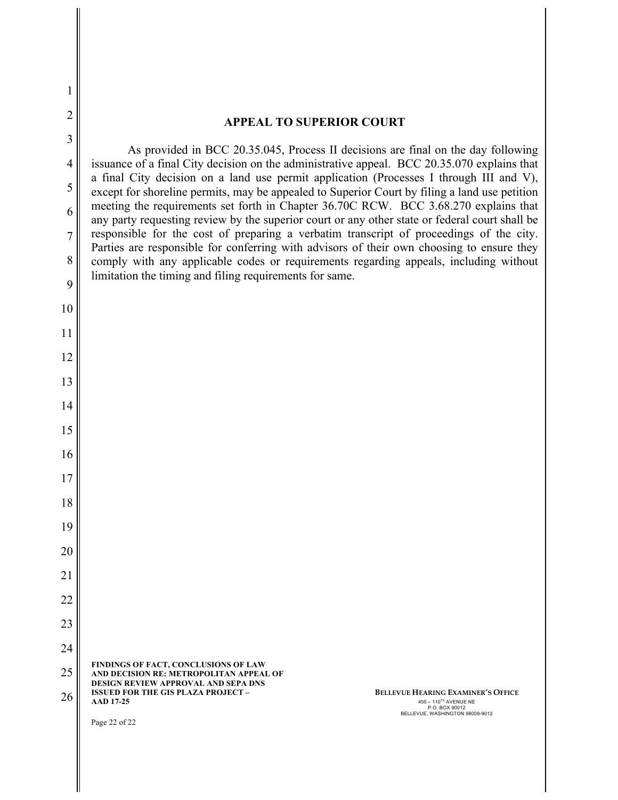**FINDINGS OF FACT, CONCLUSIONS OF LAW AND DECISION RE: METROPOLITAN APPEAL OF DESIGN REVIEW APPROVAL AND SEPA DNS ISSUED FOR THE GIS PLAZA PROJECT –**<br> **ISSUED FOR THE GIS PLAZA PROJECT –**<br>
26 **BELLEVUE HEARING EXAMINER'S OFFICE AAD 17-25** Page 22 of 22 1 2 3 4 5 6 7 8 9 10 11 12 13 14 15 16 17 18 19 20 21 22 23 24 25  $450 - 110^{TH}$  AVENUE NE P.O. BOX 90012 BELLEVUE, WASHINGTON 98009-9012 **APPEAL TO SUPERIOR COURT** As provided in BCC 20.35.045, Process II decisions are final on the day following issuance of a final City decision on the administrative appeal. BCC 20.35.070 explains that a final City decision on a land use permit application (Processes I through III and V), except for shoreline permits, may be appealed to Superior Court by filing a land use petition meeting the requirements set forth in Chapter 36.70C RCW. BCC 3.68.270 explains that any party requesting review by the superior court or any other state or federal court shall be responsible for the cost of preparing a verbatim transcript of proceedings of the city. Parties are responsible for conferring with advisors of their own choosing to ensure they comply with any applicable codes or requirements regarding appeals, including without limitation the timing and filing requirements for same.